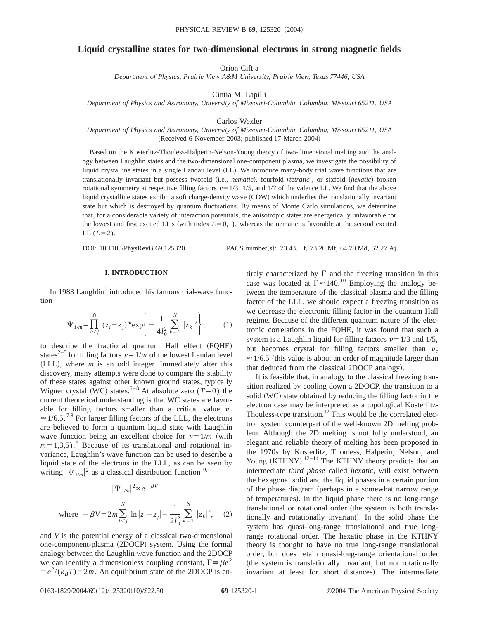# **Liquid crystalline states for two-dimensional electrons in strong magnetic fields**

Orion Ciftja

*Department of Physics, Prairie View A&M University, Prairie View, Texas 77446, USA*

Cintia M. Lapilli

*Department of Physics and Astronomy, University of Missouri-Columbia, Columbia, Missouri 65211, USA*

Carlos Wexler

*Department of Physics and Astronomy, University of Missouri-Columbia, Columbia, Missouri 65211, USA* (Received 6 November 2003; published 17 March 2004)

Based on the Kosterlitz-Thouless-Halperin-Nelson-Young theory of two-dimensional melting and the analogy between Laughlin states and the two-dimensional one-component plasma, we investigate the possibility of liquid crystalline states in a single Landau level (LL). We introduce many-body trial wave functions that are translationally invariant but possess twofold (i.e., *nematic*), fourfold (*tetratic*), or sixfold (*hexatic*) broken rotational symmetry at respective filling factors  $\nu=1/3$ , 1/5, and 1/7 of the valence LL. We find that the above liquid crystalline states exhibit a soft charge-density wave (CDW) which underlies the translationally invariant state but which is destroyed by quantum fluctuations. By means of Monte Carlo simulations, we determine that, for a considerable variety of interaction potentials, the anisotropic states are energetically unfavorable for the lowest and first excited LL's (with index  $L=0,1$ ), whereas the nematic is favorable at the second excited LL  $(L=2)$ .

DOI: 10.1103/PhysRevB.69.125320 PACS number(s): 73.43.-f, 73.20.Mf, 64.70.Md, 52.27.Aj

## **I. INTRODUCTION**

In 1983 Laughlin<sup>1</sup> introduced his famous trial-wave function

$$
\Psi_{1/m} = \prod_{i < j}^{N} (z_i - z_j)^m \exp\left\{-\frac{1}{4l_0^2} \sum_{k=1}^{N} |z_k|^2\right\},\tag{1}
$$

to describe the fractional quantum Hall effect (FQHE) states<sup>2–5</sup> for filling factors  $\nu=1/m$  of the lowest Landau level  $(LLL)$ , where  $m$  is an odd integer. Immediately after this discovery, many attempts were done to compare the stability of these states against other known ground states, typically Wigner crystal (WC) states.<sup>6–8</sup> At absolute zero ( $T=0$ ) the current theoretical understanding is that WC states are favorable for filling factors smaller than a critical value  $\nu_c$  $\approx$  1/6.5.<sup>7,8</sup> For larger filling factors of the LLL, the electrons are believed to form a quantum liquid state with Laughlin wave function being an excellent choice for  $\nu = 1/m$  (with  $m=1,3,5$ .<sup>9</sup> Because of its translational and rotational invariance, Laughlin's wave function can be used to describe a liquid state of the electrons in the LLL, as can be seen by writing  $|\Psi_{1/m}|^2$  as a classical distribution function<sup>10,11</sup>

$$
|\Psi_{1/m}|^2 \propto e^{-\beta V},
$$
  
where  $-\beta V = 2m \sum_{i < j}^{N} \ln |z_i - z_j| - \frac{1}{2l_0^2} \sum_{k=1}^{N} |z_k|^2$ , (2)

and *V* is the potential energy of a classical two-dimensional one-component-plasma (2DOCP) system. Using the formal analogy between the Laughlin wave function and the 2DOCP we can identify a dimensionless coupling constant,  $\Gamma = \beta e^2$  $= e^2/(k_B T) = 2m$ . An equilibrium state of the 2DOCP is entirely characterized by  $\Gamma$  and the freezing transition in this case was located at  $\Gamma \approx 140$ .<sup>10</sup> Employing the analogy between the temperature of the classical plasma and the filling factor of the LLL, we should expect a freezing transition as we decrease the electronic filling factor in the quantum Hall regime. Because of the different quantum nature of the electronic correlations in the FQHE, it was found that such a system is a Laughlin liquid for filling factors  $\nu=1/3$  and 1/5, but becomes crystal for filling factors smaller than  $\nu_c$  $\approx$  1/6.5 (this value is about an order of magnitude larger than that deduced from the classical 2DOCP analogy).

It is feasible that, in analogy to the classical freezing transition realized by cooling down a 2DOCP, the transition to a solid (WC) state obtained by reducing the filling factor in the electron case may be interpreted as a topological Kosterlitz-Thouless-type transition.<sup>12</sup> This would be the correlated electron system counterpart of the well-known 2D melting problem. Although the 2D melting is not fully understood, an elegant and reliable theory of melting has been proposed in the 1970s by Kosterlitz, Thouless, Halperin, Nelson, and Young  $(KTHNY)$ .<sup>12-14</sup> The KTHNY theory predicts that an intermediate *third phase* called *hexatic*, will exist between the hexagonal solid and the liquid phases in a certain portion of the phase diagram (perhaps in a somewhat narrow range of temperatures). In the liquid phase there is no long-range translational or rotational order (the system is both translationally and rotationally invariant). In the solid phase the system has quasi-long-range translational and true longrange rotational order. The hexatic phase in the KTHNY theory is thought to have no true long-range translational order, but does retain quasi-long-range orientational order (the system is translationally invariant, but not rotationally invariant at least for short distances). The intermediate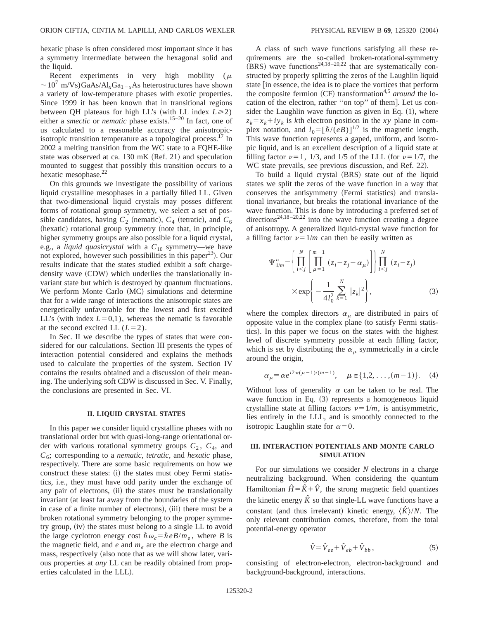hexatic phase is often considered most important since it has a symmetry intermediate between the hexagonal solid and the liquid.

Recent experiments in very high mobility ( $\mu$  $\sim$ 10<sup>7</sup> m/Vs)GaAs/Al<sub>x</sub>Ga<sub>1-x</sub>As heterostructures have shown a variety of low-temperature phases with exotic properties. Since 1999 it has been known that in transitional regions between QH plateaus for high LL's (with LL index  $L \ge 2$ ) either a *smectic* or *nematic* phase exists.15–20 In fact, one of us calculated to a reasonable accuracy the anisotropicisotropic transition temperature as a topological process. $^{17}$  In 2002 a melting transition from the WC state to a FQHE-like state was observed at ca.  $130 \text{ mK}$  (Ref. 21) and speculation mounted to suggest that possibly this transition occurs to a hexatic mesophase.<sup>22</sup>

On this grounds we investigate the possibility of various liquid crystalline mesophases in a partially filled LL. Given that two-dimensional liquid crystals may posses different forms of rotational group symmetry, we select a set of possible candidates, having  $C_2$  (nematic),  $C_4$  (tetratic), and  $C_6$ (hexatic) rotational group symmetry (note that, in principle, higher symmetry groups are also possible for a liquid crystal, e.g., a *liquid quasicrystal* with a  $C_{10}$  symmetry—we have not explored, however such possibilities in this paper<sup>23</sup>). Our results indicate that the states studied exhibit a soft chargedensity wave (CDW) which underlies the translationally invariant state but which is destroyed by quantum fluctuations. We perform Monte Carlo (MC) simulations and determine that for a wide range of interactions the anisotropic states are energetically unfavorable for the lowest and first excited LL's (with index  $L=0,1$ ), whereas the nematic is favorable at the second excited LL  $(L=2)$ .

In Sec. II we describe the types of states that were considered for our calculations. Section III presents the types of interaction potential considered and explains the methods used to calculate the properties of the system. Section IV contains the results obtained and a discussion of their meaning. The underlying soft CDW is discussed in Sec. V. Finally, the conclusions are presented in Sec. VI.

#### **II. LIQUID CRYSTAL STATES**

In this paper we consider liquid crystalline phases with no translational order but with quasi-long-range orientational order with various rotational symmetry groups  $C_2$ ,  $C_4$ , and *C*6; corresponding to a *nematic*, *tetratic*, and *hexatic* phase, respectively. There are some basic requirements on how we construct these states: (i) the states must obey Fermi statistics, i.e., they must have odd parity under the exchange of any pair of electrons, (ii) the states must be translationally invariant (at least far away from the boundaries of the system in case of a finite number of electrons), (iii) there must be a broken rotational symmetry belonging to the proper symmetry group,  $(iv)$  the states must belong to a single LL to avoid the large cyclotron energy cost  $\hbar \omega_c = \hbar e B/m_e$ , where *B* is the magnetic field, and  $e$  and  $m_e$  are the electron charge and mass, respectively (also note that as we will show later, various properties at *any* LL can be readily obtained from properties calculated in the LLL).

A class of such wave functions satisfying all these requirements are the so-called broken-rotational-symmetry  $(BRS)$  wave functions<sup>24,18–20,22</sup> that are systematically constructed by properly splitting the zeros of the Laughlin liquid state [in essence, the idea is to place the vortices that perform the composite fermion  $(CF)$  transformation<sup>4,5</sup> *around* the location of the electron, rather "on top" of them]. Let us consider the Laughlin wave function as given in Eq.  $(1)$ , where  $z_k = x_k + iy_k$  is *k*th electron position in the *xy* plane in complex notation, and  $l_0 = [\hbar/(eB)]^{1/2}$  is the magnetic length. This wave function represents a gaped, uniform, and isotropic liquid, and is an excellent description of a liquid state at filling factor  $\nu=1$ , 1/3, and 1/5 of the LLL (for  $\nu=1/7$ , the WC state prevails, see previous discussion, and Ref. 22).

To build a liquid crystal (BRS) state out of the liquid states we split the zeros of the wave function in a way that conserves the antisymmetry (Fermi statistics) and translational invariance, but breaks the rotational invariance of the wave function. This is done by introducing a preferred set of directions<sup>24,18–20,22</sup> into the wave function creating a degree of anisotropy. A generalized liquid-crystal wave function for a filling factor  $\nu = 1/m$  can then be easily written as

$$
\Psi_{1/m}^{\alpha} = \left\{ \prod_{i < j}^{N} \left[ \prod_{\mu=1}^{m-1} (z_i - z_j - \alpha_{\mu}) \right] \right\} \prod_{i < j}^{N} (z_i - z_j) \\
\times \exp\left\{ -\frac{1}{4l_0^2} \sum_{k=1}^{N} |z_k|^2 \right\},\n\tag{3}
$$

where the complex directors  $\alpha_{\mu}$  are distributed in pairs of opposite value in the complex plane (to satisfy Fermi statistics). In this paper we focus on the states with the highest level of discrete symmetry possible at each filling factor, which is set by distributing the  $\alpha_{\mu}$  symmetrically in a circle around the origin,

$$
\alpha_{\mu} = \alpha e^{i2\pi(\mu - 1)/(m - 1)}, \quad \mu \in \{1, 2, \dots, (m - 1)\}.
$$
 (4)

Without loss of generality  $\alpha$  can be taken to be real. The wave function in Eq.  $(3)$  represents a homogeneous liquid crystalline state at filling factors  $\nu=1/m$ , is antisymmetric, lies entirely in the LLL, and is smoothly connected to the isotropic Laughlin state for  $\alpha=0$ .

# **III. INTERACTION POTENTIALS AND MONTE CARLO SIMULATION**

For our simulations we consider *N* electrons in a charge neutralizing background. When considering the quantum Hamiltonian  $\hat{H} = \hat{K} + \hat{V}$ , the strong magnetic field quantizes the kinetic energy  $\hat{K}$  so that single-LL wave functions have a constant (and thus irrelevant) kinetic energy,  $\langle \hat{K} \rangle/N$ . The only relevant contribution comes, therefore, from the total potential-energy operator

$$
\hat{V} = \hat{V}_{ee} + \hat{V}_{eb} + \hat{V}_{bb},\tag{5}
$$

consisting of electron-electron, electron-background and background-background, interactions.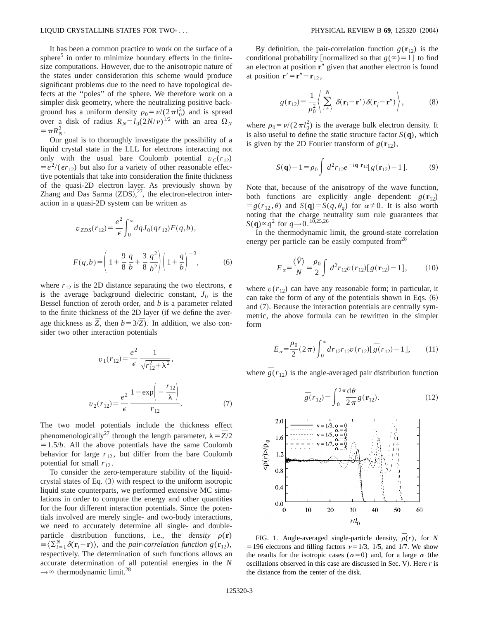It has been a common practice to work on the surface of a sphere<sup>5</sup> in order to minimize boundary effects in the finitesize computations. However, due to the anisotropic nature of the states under consideration this scheme would produce significant problems due to the need to have topological defects at the ''poles'' of the sphere. We therefore work on a simpler disk geometry, where the neutralizing positive background has a uniform density  $\rho_0 = \nu/(2\pi l_0^2)$  and is spread over a disk of radius  $R_N = l_0(2N/\nu)^{1/2}$  with an area  $\Omega_N$  $= \pi R_N^2$ .

Our goal is to thoroughly investigate the possibility of a liquid crystal state in the LLL for electrons interacting not only with the usual bare Coulomb potential  $v_C(r_1)$  $= e^{2}/(\epsilon r_{12})$  but also for a variety of other reasonable effective potentials that take into consideration the finite thickness of the quasi-2D electron layer. As previously shown by Zhang and Das Sarma  $(ZDS)$ ,<sup>27</sup>, the electron-electron interaction in a quasi-2D system can be written as

$$
v_{ZDS}(r_{12}) = \frac{e^2}{\epsilon} \int_0^\infty dq J_0(qr_{12}) F(q, b),
$$
  

$$
F(q, b) = \left(1 + \frac{9}{8} \frac{q}{b} + \frac{3}{8} \frac{q^2}{b^2}\right) \left(1 + \frac{q}{b}\right)^{-3},
$$
 (6)

where  $r_{12}$  is the 2D distance separating the two electrons,  $\epsilon$ is the average background dielectric constant,  $J_0$  is the Bessel function of zeroth order, and *b* is a parameter related to the finite thickness of the 2D layer (if we define the average thickness as  $\overline{Z}$ , then  $b = 3/\overline{Z}$ ). In addition, we also consider two other interaction potentials

$$
v_1(r_{12}) = \frac{e^2}{\epsilon} \frac{1}{\sqrt{r_{12}^2 + \lambda^2}},
$$
  

$$
v_2(r_{12}) = \frac{e^2}{\epsilon} \frac{1 - \exp\left(-\frac{r_{12}}{\lambda}\right)}{r_{12}}.
$$
 (7)

The two model potentials include the thickness effect phenomenologically<sup>27</sup> through the length parameter,  $\lambda = \overline{Z}/2$  $=1.5/b$ . All the above potentials have the same Coulomb behavior for large  $r_{12}$ , but differ from the bare Coulomb potential for small  $r_{12}$ .

To consider the zero-temperature stability of the liquidcrystal states of Eq.  $(3)$  with respect to the uniform isotropic liquid state counterparts, we performed extensive MC simulations in order to compute the energy and other quantities for the four different interaction potentials. Since the potentials involved are merely single- and two-body interactions, we need to accurately determine all single- and doubleparticle distribution functions, i.e., the *density*  $\rho(\mathbf{r})$  $\equiv \langle \sum_{i=1}^{N} \delta(\mathbf{r}_i - \mathbf{r}) \rangle$ , and the *pair-correlation function g*( $\mathbf{r}_{12}$ ), respectively. The determination of such functions allows an accurate determination of all potential energies in the *N*  $\rightarrow \infty$  thermodynamic limit.<sup>28</sup>

By definition, the pair-correlation function  $g(\mathbf{r}_{12})$  is the conditional probability [normalized so that  $g(\infty)=1$ ] to find an electron at position **r**<sup>*n*</sup> given that another electron is found at position  $\mathbf{r}' = \mathbf{r}'' - \mathbf{r}_{12}$ ,

$$
g(\mathbf{r}_{12}) \equiv \frac{1}{\rho_0^2} \left\langle \sum_{i \neq j}^N \delta(\mathbf{r}_i - \mathbf{r}') \delta(\mathbf{r}_j - \mathbf{r}'') \right\rangle, \tag{8}
$$

where  $\rho_0 = \nu/(2\pi l_0^2)$  is the average bulk electron density. It is also useful to define the static structure factor  $S(\mathbf{q})$ , which is given by the 2D Fourier transform of  $g(\mathbf{r}_{12})$ ,

$$
S(\mathbf{q}) - 1 = \rho_0 \int d^2 r_{12} e^{-i\mathbf{q} \cdot \mathbf{r}_{12}} [g(\mathbf{r}_{12}) - 1]. \tag{9}
$$

Note that, because of the anisotropy of the wave function, both functions are explicitly angle dependent:  $g(\mathbf{r}_{12})$  $= g(r_{12}, \theta)$  and  $S(\mathbf{q}) = S(q, \theta_q)$  for  $\alpha \neq 0$ . It is also worth noting that the charge neutrality sum rule guarantees that  $S(q) \propto q^2$  for  $q \to 0$ .<sup>10,25,26</sup>

In the thermodynamic limit, the ground-state correlation energy per particle can be easily computed from  $28$ 

$$
E_{\alpha} = \frac{\langle \hat{V} \rangle}{N} = \frac{\rho_0}{2} \int d^2 r_{12} v(r_{12}) [g(\mathbf{r}_{12}) - 1], \quad (10)
$$

where  $v(r_{12})$  can have any reasonable form; in particular, it can take the form of any of the potentials shown in Eqs.  $(6)$ and  $(7)$ . Because the interaction potentials are centrally symmetric, the above formula can be rewritten in the simpler form

$$
E_{\alpha} = \frac{\rho_0}{2} (2 \pi) \int_0^{\infty} dr_{12} r_{12} v(r_{12}) [\bar{g}(r_{12}) - 1], \qquad (11)
$$

where  $\overline{g}(r_{12})$  is the angle-averaged pair distribution function

$$
\overline{g}(r_{12}) = \int_0^{2\pi} \frac{\mathrm{d}\theta}{2\pi} g(\mathbf{r}_{12}).\tag{12}
$$



FIG. 1. Angle-averaged single-particle density,  $\rho(r)$ , for *N* = 196 electrons and filling factors  $\nu=1/3$ , 1/5, and 1/7. We show the results for the isotropic cases ( $\alpha=0$ ) and, for a large  $\alpha$  (the oscillations observed in this case are discussed in Sec. V). Here *r* is the distance from the center of the disk.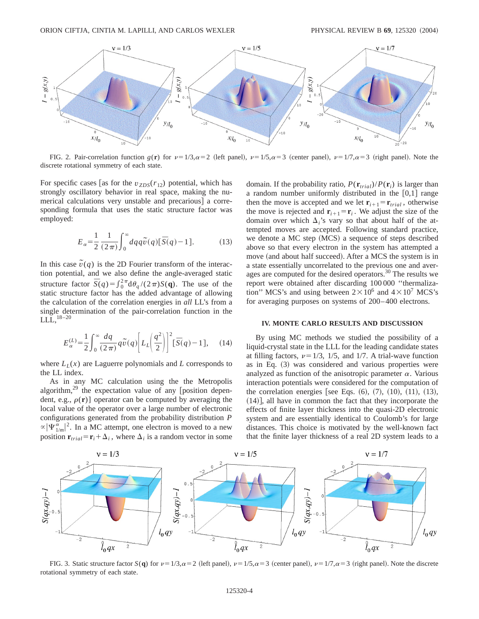

FIG. 2. Pair-correlation function  $g(\mathbf{r})$  for  $\nu=1/3$ , $\alpha=2$  (left panel),  $\nu=1/5$ , $\alpha=3$  (center panel),  $\nu=1/7$ , $\alpha=3$  (right panel). Note the discrete rotational symmetry of each state.

For specific cases [as for the  $v_{ZDS}(r_{12})$  potential, which has strongly oscillatory behavior in real space, making the numerical calculations very unstable and precarious] a corresponding formula that uses the static structure factor was employed:

$$
E_{\alpha} = \frac{1}{2} \frac{1}{(2\pi)} \int_0^{\infty} dq q \tilde{v}(q) [\bar{S}(q) - 1]. \tag{13}
$$

In this case  $\tilde{v}(q)$  is the 2D Fourier transform of the interaction potential, and we also define the angle-averaged static structure factor  $\bar{S}(q) = \int_0^2 \pi d\theta_q/(2\pi) S(q)$ . The use of the static structure factor has the added advantage of allowing the calculation of the correlation energies in *all* LL's from a single determination of the pair-correlation function in the LLL,18–20

$$
E_{\alpha}^{(L)} = \frac{1}{2} \int_0^{\infty} \frac{dq}{(2\pi)} q \tilde{v}(q) \left[ L_{L} \left( \frac{q^2}{2} \right) \right]^2 \left[ \bar{S}(q) - 1 \right], \quad (14)
$$

where  $L_L(x)$  are Laguerre polynomials and *L* corresponds to the LL index.

As in any MC calculation using the the Metropolis algorithm, $^{29}$  the expectation value of any [position dependent, e.g.,  $\rho(\mathbf{r})$ ] operator can be computed by averaging the local value of the operator over a large number of electronic configurations generated from the probability distribution *P*  $\alpha |\Psi^{\alpha}_{1/m}|^2$ . In a MC attempt, one electron is moved to a new position  $\mathbf{r}_{trial} = \mathbf{r}_i + \Delta_i$ , where  $\Delta_i$  is a random vector in some domain. If the probability ratio,  $P(\mathbf{r}_{trial})/P(\mathbf{r}_i)$  is larger than a random number uniformly distributed in the  $[0,1]$  range then the move is accepted and we let  $\mathbf{r}_{i+1} = \mathbf{r}_{trial}$ , otherwise the move is rejected and  $\mathbf{r}_{i+1} = \mathbf{r}_i$ . We adjust the size of the domain over which  $\Delta$ <sup>'</sup> s vary so that about half of the attempted moves are accepted. Following standard practice, we denote a MC step (MCS) a sequence of steps described above so that every electron in the system has attempted a move (and about half succeed). After a MCS the system is in a state essentially uncorrelated to the previous one and averages are computed for the desired operators.<sup>30</sup> The results we report were obtained after discarding 100 000 ''thermalization" MCS's and using between  $2 \times 10^6$  and  $4 \times 10^7$  MCS's for averaging purposes on systems of 200–400 electrons.

### **IV. MONTE CARLO RESULTS AND DISCUSSION**

By using MC methods we studied the possibility of a liquid-crystal state in the LLL for the leading candidate states at filling factors,  $\nu=1/3$ , 1/5, and 1/7. A trial-wave function as in Eq.  $(3)$  was considered and various properties were analyzed as function of the anisotropic parameter  $\alpha$ . Various interaction potentials were considered for the computation of the correlation energies [see Eqs.  $(6)$ ,  $(7)$ ,  $(10)$ ,  $(11)$ ,  $(13)$ ,  $(14)$ , all have in common the fact that they incorporate the effects of finite layer thickness into the quasi-2D electronic system and are essentially identical to Coulomb's for large distances. This choice is motivated by the well-known fact that the finite layer thickness of a real 2D system leads to a



FIG. 3. Static structure factor *S*(q) for  $\nu = 1/3$ , $\alpha = 2$  (left panel),  $\nu = 1/5$ , $\alpha = 3$  (center panel),  $\nu = 1/7$ , $\alpha = 3$  (right panel). Note the discrete rotational symmetry of each state.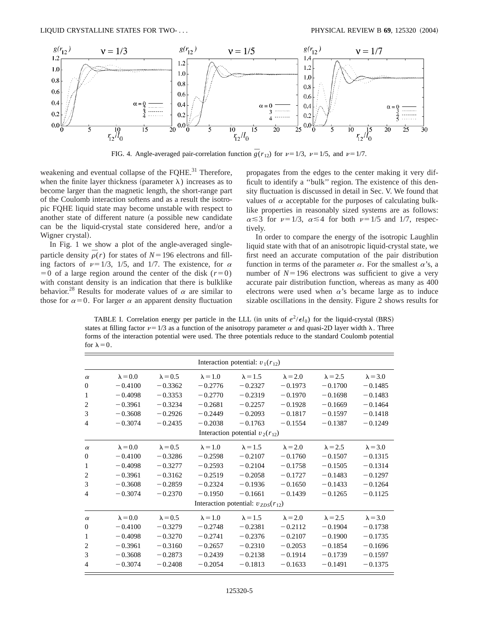

FIG. 4. Angle-averaged pair-correlation function  $\overline{g}(r_{12})$  for  $\nu=1/3$ ,  $\nu=1/5$ , and  $\nu=1/7$ .

weakening and eventual collapse of the FQHE.<sup>31</sup> Therefore, when the finite layer thickness (parameter  $\lambda$ ) increases as to become larger than the magnetic length, the short-range part of the Coulomb interaction softens and as a result the isotropic FQHE liquid state may become unstable with respect to another state of different nature (a possible new candidate can be the liquid-crystal state considered here, and/or a Wigner crystal).

In Fig. 1 we show a plot of the angle-averaged singleparticle density  $\overline{\rho}(r)$  for states of  $N=196$  electrons and filling factors of  $\nu=1/3$ , 1/5, and 1/7. The existence, for  $\alpha$  $=0$  of a large region around the center of the disk ( $r=0$ ) with constant density is an indication that there is bulklike behavior.<sup>28</sup> Results for moderate values of  $\alpha$  are similar to those for  $\alpha=0$ . For larger  $\alpha$  an apparent density fluctuation propagates from the edges to the center making it very difficult to identify a ''bulk'' region. The existence of this density fluctuation is discussed in detail in Sec. V. We found that values of  $\alpha$  acceptable for the purposes of calculating bulklike properties in reasonably sized systems are as follows:  $\alpha \leq 3$  for  $\nu=1/3$ ,  $\alpha \leq 4$  for both  $\nu=1/5$  and 1/7, respectively.

In order to compare the energy of the isotropic Laughlin liquid state with that of an anisotropic liquid-crystal state, we first need an accurate computation of the pair distribution function in terms of the parameter  $\alpha$ . For the smallest  $\alpha$ 's, a number of  $N=196$  electrons was sufficient to give a very accurate pair distribution function, whereas as many as 400 electrons were used when  $\alpha$ 's became large as to induce sizable oscillations in the density. Figure 2 shows results for

TABLE I. Correlation energy per particle in the LLL (in units of  $e^2/\epsilon l_0$ ) for the liquid-crystal (BRS) states at filling factor  $\nu=1/3$  as a function of the anisotropy parameter  $\alpha$  and quasi-2D layer width  $\lambda$ . Three forms of the interaction potential were used. The three potentials reduce to the standard Coulomb potential for  $\lambda=0$ .

| Interaction potential: $v_1(r_{12})$ |                                          |                 |                 |                 |                 |                 |                 |  |  |  |
|--------------------------------------|------------------------------------------|-----------------|-----------------|-----------------|-----------------|-----------------|-----------------|--|--|--|
| $\alpha$                             | $\lambda = 0.0$                          | $\lambda = 0.5$ | $\lambda = 1.0$ | $\lambda = 1.5$ | $\lambda = 2.0$ | $\lambda = 2.5$ | $\lambda = 3.0$ |  |  |  |
| $\mathbf{0}$                         | $-0.4100$                                | $-0.3362$       | $-0.2776$       | $-0.2327$       | $-0.1973$       | $-0.1700$       | $-0.1485$       |  |  |  |
| 1                                    | $-0.4098$                                | $-0.3353$       | $-0.2770$       | $-0.2319$       | $-0.1970$       | $-0.1698$       | $-0.1483$       |  |  |  |
| $\overline{2}$                       | $-0.3961$                                | $-0.3234$       | $-0.2681$       | $-0.2257$       | $-0.1928$       | $-0.1669$       | $-0.1464$       |  |  |  |
| 3                                    | $-0.3608$                                | $-0.2926$       | $-0.2449$       | $-0.2093$       | $-0.1817$       | $-0.1597$       | $-0.1418$       |  |  |  |
| $\overline{4}$                       | $-0.3074$                                | $-0.2435$       | $-0.2038$       | $-0.1763$       | $-0.1554$       | $-0.1387$       | $-0.1249$       |  |  |  |
|                                      | Interaction potential $v_2(r_{12})$      |                 |                 |                 |                 |                 |                 |  |  |  |
| $\alpha$                             | $\lambda = 0.0$                          | $\lambda = 0.5$ | $\lambda = 1.0$ | $\lambda = 1.5$ | $\lambda = 2.0$ | $\lambda = 2.5$ | $\lambda = 3.0$ |  |  |  |
| $\mathbf{0}$                         | $-0.4100$                                | $-0.3286$       | $-0.2598$       | $-0.2107$       | $-0.1760$       | $-0.1507$       | $-0.1315$       |  |  |  |
| 1                                    | $-0.4098$                                | $-0.3277$       | $-0.2593$       | $-0.2104$       | $-0.1758$       | $-0.1505$       | $-0.1314$       |  |  |  |
| 2                                    | $-0.3961$                                | $-0.3162$       | $-0.2519$       | $-0.2058$       | $-0.1727$       | $-0.1483$       | $-0.1297$       |  |  |  |
| 3                                    | $-0.3608$                                | $-0.2859$       | $-0.2324$       | $-0.1936$       | $-0.1650$       | $-0.1433$       | $-0.1264$       |  |  |  |
| $\overline{4}$                       | $-0.3074$                                | $-0.2370$       | $-0.1950$       | $-0.1661$       | $-0.1439$       | $-0.1265$       | $-0.1125$       |  |  |  |
|                                      | Interaction potential: $v_{ZDS}(r_{12})$ |                 |                 |                 |                 |                 |                 |  |  |  |
| $\alpha$                             | $\lambda = 0.0$                          | $\lambda = 0.5$ | $\lambda = 1.0$ | $\lambda = 1.5$ | $\lambda = 2.0$ | $\lambda = 2.5$ | $\lambda = 3.0$ |  |  |  |
| $\mathbf{0}$                         | $-0.4100$                                | $-0.3279$       | $-0.2748$       | $-0.2381$       | $-0.2112$       | $-0.1904$       | $-0.1738$       |  |  |  |
| 1                                    | $-0.4098$                                | $-0.3270$       | $-0.2741$       | $-0.2376$       | $-0.2107$       | $-0.1900$       | $-0.1735$       |  |  |  |
| 2                                    | $-0.3961$                                | $-0.3160$       | $-0.2657$       | $-0.2310$       | $-0.2053$       | $-0.1854$       | $-0.1696$       |  |  |  |
| 3                                    | $-0.3608$                                | $-0.2873$       | $-0.2439$       | $-0.2138$       | $-0.1914$       | $-0.1739$       | $-0.1597$       |  |  |  |
| $\overline{4}$                       | $-0.3074$                                | $-0.2408$       | $-0.2054$       | $-0.1813$       | $-0.1633$       | $-0.1491$       | $-0.1375$       |  |  |  |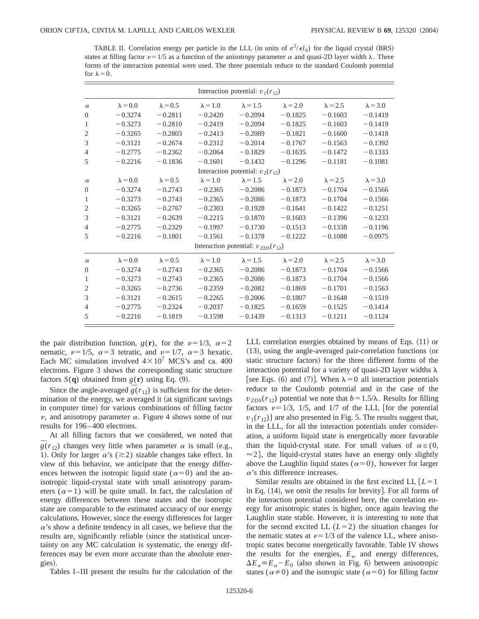TABLE II. Correlation energy per particle in the LLL (in units of  $e^2/\epsilon l_0$ ) for the liquid crystal (BRS) states at filling factor  $\nu=1/5$  as a function of the anisotropy parameter  $\alpha$  and quasi-2D layer width  $\lambda$ . Three forms of the interaction potential were used. The three potentials reduce to the standard Coulomb potential for  $\lambda=0$ .

|                | Interaction potential: $v_1(r_{12})$     |                 |                 |                 |                 |                 |                 |  |  |  |
|----------------|------------------------------------------|-----------------|-----------------|-----------------|-----------------|-----------------|-----------------|--|--|--|
| $\alpha$       | $\lambda = 0.0$                          | $\lambda = 0.5$ | $\lambda = 1.0$ | $\lambda = 1.5$ | $\lambda = 2.0$ | $\lambda = 2.5$ | $\lambda = 3.0$ |  |  |  |
| $\theta$       | $-0.3274$                                | $-0.2811$       | $-0.2420$       | $-0.2094$       | $-0.1825$       | $-0.1603$       | $-0.1419$       |  |  |  |
| $\mathbf{1}$   | $-0.3273$                                | $-0.2810$       | $-0.2419$       | $-0.2094$       | $-0.1825$       | $-0.1603$       | $-0.1419$       |  |  |  |
| $\overline{2}$ | $-0.3265$                                | $-0.2803$       | $-0.2413$       | $-0.2089$       | $-0.1821$       | $-0.1600$       | $-0.1418$       |  |  |  |
| 3              | $-0.3121$                                | $-0.2674$       | $-0.2312$       | $-0.2014$       | $-0.1767$       | $-0.1563$       | $-0.1392$       |  |  |  |
| $\overline{4}$ | $-0.2775$                                | $-0.2362$       | $-0.2064$       | $-0.1829$       | $-0.1635$       | $-0.1472$       | $-0.1333$       |  |  |  |
| 5              | $-0.2216$                                | $-0.1836$       | $-0.1601$       | $-0.1432$       | $-0.1296$       | $-0.1181$       | $-0.1081$       |  |  |  |
|                | Interaction potential: $v_2(r_{12})$     |                 |                 |                 |                 |                 |                 |  |  |  |
| $\alpha$       | $\lambda = 0.0$                          | $\lambda = 0.5$ | $\lambda = 1.0$ | $\lambda = 1.5$ | $\lambda = 2.0$ | $\lambda = 2.5$ | $\lambda = 3.0$ |  |  |  |
| $\Omega$       | $-0.3274$                                | $-0.2743$       | $-0.2365$       | $-0.2086$       | $-0.1873$       | $-0.1704$       | $-0.1566$       |  |  |  |
| $\mathbf{1}$   | $-0.3273$                                | $-0.2743$       | $-0.2365$       | $-0.2086$       | $-0.1873$       | $-0.1704$       | $-0.1566$       |  |  |  |
| $\overline{2}$ | $-0.3265$                                | $-0.2767$       | $-0.2303$       | $-0.1928$       | $-0.1641$       | $-0.1422$       | $-0.1251$       |  |  |  |
| 3              | $-0.3121$                                | $-0.2639$       | $-0.2215$       | $-0.1870$       | $-0.1603$       | $-0.1396$       | $-0.1233$       |  |  |  |
| $\overline{4}$ | $-0.2775$                                | $-0.2329$       | $-0.1997$       | $-0.1730$       | $-0.1513$       | $-0.1338$       | $-0.1196$       |  |  |  |
| 5              | $-0.2216$                                | $-0.1801$       | $-0.1561$       | $-0.1378$       | $-0.1222$       | $-0.1088$       | $-0.0975$       |  |  |  |
|                | Interaction potential: $v_{ZDS}(r_{12})$ |                 |                 |                 |                 |                 |                 |  |  |  |
| $\alpha$       | $\lambda = 0.0$                          | $\lambda = 0.5$ | $\lambda = 1.0$ | $\lambda = 1.5$ | $\lambda = 2.0$ | $\lambda = 2.5$ | $\lambda = 3.0$ |  |  |  |
| $\overline{0}$ | $-0.3274$                                | $-0.2743$       | $-0.2365$       | $-0.2086$       | $-0.1873$       | $-0.1704$       | $-0.1566$       |  |  |  |
| $\mathbf{1}$   | $-0.3273$                                | $-0.2743$       | $-0.2365$       | $-0.2086$       | $-0.1873$       | $-0.1704$       | $-0.1566$       |  |  |  |
| 2              | $-0.3265$                                | $-0.2736$       | $-0.2359$       | $-0.2082$       | $-0.1869$       | $-0.1701$       | $-0.1563$       |  |  |  |
| 3              | $-0.3121$                                | $-0.2615$       | $-0.2265$       | $-0.2006$       | $-0.1807$       | $-0.1648$       | $-0.1519$       |  |  |  |
| $\overline{4}$ | $-0.2775$                                | $-0.2324$       | $-0.2037$       | $-0.1825$       | $-0.1659$       | $-0.1525$       | $-0.1414$       |  |  |  |
| 5              | $-0.2216$                                | $-0.1819$       | $-0.1598$       | $-0.1439$       | $-0.1313$       | $-0.1211$       | $-0.1124$       |  |  |  |

the pair distribution function,  $g(\mathbf{r})$ , for the  $\nu=1/3$ ,  $\alpha=2$ nematic,  $\nu=1/5$ ,  $\alpha=3$  tetratic, and  $\nu=1/7$ ,  $\alpha=3$  hexatic. Each MC simulation involved  $4 \times 10^7$  MCS's and ca. 400 electrons. Figure 3 shows the corresponding static structure factors  $S(\mathbf{q})$  obtained from  $g(\mathbf{r})$  using Eq. (9).

Since the angle-averaged  $\overline{g}(r_{12})$  is sufficient for the determination of the energy, we averaged it (at significant savings in computer time) for various combinations of filling factor  $\nu$ , and anisotropy parameter  $\alpha$ . Figure 4 shows some of our results for 196–400 electrons.

At all filling factors that we considered, we noted that  $\overline{g}(r_{12})$  changes very little when parameter  $\alpha$  is small (e.g., 1). Only for larger  $\alpha$ 's ( $\geq$ 2) sizable changes take effect. In view of this behavior, we anticipate that the energy differences between the isotropic liquid state ( $\alpha=0$ ) and the anisotropic liquid-crystal state with small anisotropy parameters ( $\alpha=1$ ) will be quite small. In fact, the calculation of energy differences between these states and the isotropic state are comparable to the estimated accuracy of our energy calculations. However, since the energy differences for larger  $\alpha$ 's show a definite tendency in all cases, we believe that the results are, significantly reliable (since the statistical uncertainty on any MC calculation is systematic, the energy differences may be even more accurate than the absolute energies).

Tables I–III present the results for the calculation of the

LLL correlation energies obtained by means of Eqs.  $(11)$  or  $(13)$ , using the angle-averaged pair-correlation functions (or static structure factors) for the three different forms of the interaction potential for a variety of quasi-2D layer widths  $\lambda$ [see Eqs. (6) and (7)]. When  $\lambda = 0$  all interaction potentials reduce to the Coulomb potential and in the case of the  $v_{ZDS}(r_{12})$  potential we note that  $b=1.5/\lambda$ . Results for filling factors  $\nu=1/3$ , 1/5, and 1/7 of the LLL [for the potential  $v_1(r_{12})$ ] are also presented in Fig. 5. The results suggest that, in the LLL, for all the interaction potentials under consideration, a uniform liquid state is energetically more favorable than the liquid-crystal state. For small values of  $\alpha \in (0, 1)$  $\approx$  2], the liquid-crystal states have an energy only slightly above the Laughlin liquid states ( $\alpha=0$ ), however for larger  $\alpha$ 's this difference increases.

Similar results are obtained in the first excited LL  $[L=1]$ in Eq.  $(14)$ , we omit the results for brevity. For all forms of the interaction potential considered here, the correlation energy for anisotropic states is higher, once again leaving the Laughlin state stable. However, it is interesting to note that for the second excited LL  $(L=2)$  the situation changes for the nematic states at  $\nu=1/3$  of the valence LL, where anisotropic states become energetically favorable. Table IV shows the results for the energies,  $E_\alpha$  and energy differences,  $\Delta E_{\alpha} = E_{\alpha} - E_0$  (also shown in Fig. 6) between anisotropic states ( $\alpha \neq 0$ ) and the isotropic state ( $\alpha = 0$ ) for filling factor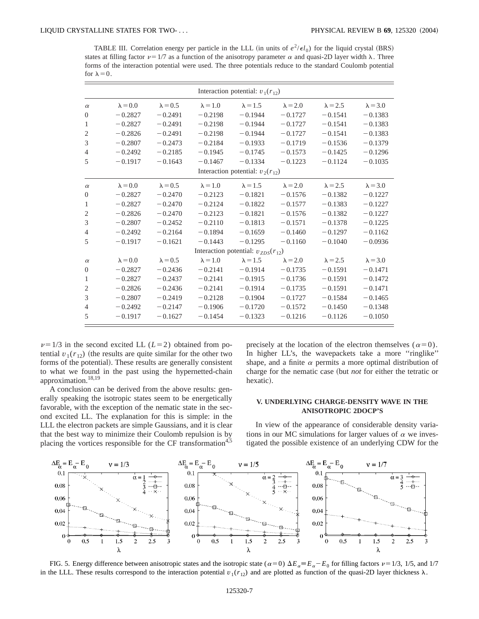TABLE III. Correlation energy per particle in the LLL (in units of  $e^2/\epsilon l_0$ ) for the liquid crystal (BRS) states at filling factor  $\nu=1/7$  as a function of the anisotropy parameter  $\alpha$  and quasi-2D layer width  $\lambda$ . Three forms of the interaction potential were used. The three potentials reduce to the standard Coulomb potential for  $\lambda=0$ .

|                                          | Interaction potential: $v_1(r_{12})$ |                 |                 |                 |                 |                 |                 |  |  |
|------------------------------------------|--------------------------------------|-----------------|-----------------|-----------------|-----------------|-----------------|-----------------|--|--|
| $\alpha$                                 | $\lambda = 0.0$                      | $\lambda = 0.5$ | $\lambda = 1.0$ | $\lambda = 1.5$ | $\lambda = 2.0$ | $\lambda = 2.5$ | $\lambda = 3.0$ |  |  |
| $\theta$                                 | $-0.2827$                            | $-0.2491$       | $-0.2198$       | $-0.1944$       | $-0.1727$       | $-0.1541$       | $-0.1383$       |  |  |
| $\mathbf{1}$                             | $-0.2827$                            | $-0.2491$       | $-0.2198$       | $-0.1944$       | $-0.1727$       | $-0.1541$       | $-0.1383$       |  |  |
| $\mathfrak{2}$                           | $-0.2826$                            | $-0.2491$       | $-0.2198$       | $-0.1944$       | $-0.1727$       | $-0.1541$       | $-0.1383$       |  |  |
| 3                                        | $-0.2807$                            | $-0.2473$       | $-0.2184$       | $-0.1933$       | $-0.1719$       | $-0.1536$       | $-0.1379$       |  |  |
| $\overline{4}$                           | $-0.2492$                            | $-0.2185$       | $-0.1945$       | $-0.1745$       | $-0.1573$       | $-0.1425$       | $-0.1296$       |  |  |
| 5                                        | $-0.1917$                            | $-0.1643$       | $-0.1467$       | $-0.1334$       | $-0.1223$       | $-0.1124$       | $-0.1035$       |  |  |
|                                          | Interaction potential: $v_2(r_{12})$ |                 |                 |                 |                 |                 |                 |  |  |
| $\alpha$                                 | $\lambda = 0.0$                      | $\lambda = 0.5$ | $\lambda = 1.0$ | $\lambda = 1.5$ | $\lambda = 2.0$ | $\lambda = 2.5$ | $\lambda = 3.0$ |  |  |
| $\overline{0}$                           | $-0.2827$                            | $-0.2470$       | $-0.2123$       | $-0.1821$       | $-0.1576$       | $-0.1382$       | $-0.1227$       |  |  |
| $\mathbf{1}$                             | $-0.2827$                            | $-0.2470$       | $-0.2124$       | $-0.1822$       | $-0.1577$       | $-0.1383$       | $-0.1227$       |  |  |
| $\overline{2}$                           | $-0.2826$                            | $-0.2470$       | $-0.2123$       | $-0.1821$       | $-0.1576$       | $-0.1382$       | $-0.1227$       |  |  |
| 3                                        | $-0.2807$                            | $-0.2452$       | $-0.2110$       | $-0.1813$       | $-0.1571$       | $-0.1378$       | $-0.1225$       |  |  |
| $\overline{4}$                           | $-0.2492$                            | $-0.2164$       | $-0.1894$       | $-0.1659$       | $-0.1460$       | $-0.1297$       | $-0.1162$       |  |  |
| 5                                        | $-0.1917$                            | $-0.1621$       | $-0.1443$       | $-0.1295$       | $-0.1160$       | $-0.1040$       | $-0.0936$       |  |  |
| Interaction potential: $v_{ZDS}(r_{12})$ |                                      |                 |                 |                 |                 |                 |                 |  |  |
| $\alpha$                                 | $\lambda = 0.0$                      | $\lambda = 0.5$ | $\lambda = 1.0$ | $\lambda = 1.5$ | $\lambda = 2.0$ | $\lambda = 2.5$ | $\lambda = 3.0$ |  |  |
| $\overline{0}$                           | $-0.2827$                            | $-0.2436$       | $-0.2141$       | $-0.1914$       | $-0.1735$       | $-0.1591$       | $-0.1471$       |  |  |
| $\mathbf{1}$                             | $-0.2827$                            | $-0.2437$       | $-0.2141$       | $-0.1915$       | $-0.1736$       | $-0.1591$       | $-0.1472$       |  |  |
| $\overline{2}$                           | $-0.2826$                            | $-0.2436$       | $-0.2141$       | $-0.1914$       | $-0.1735$       | $-0.1591$       | $-0.1471$       |  |  |
| 3                                        | $-0.2807$                            | $-0.2419$       | $-0.2128$       | $-0.1904$       | $-0.1727$       | $-0.1584$       | $-0.1465$       |  |  |
| $\overline{4}$                           | $-0.2492$                            | $-0.2147$       | $-0.1906$       | $-0.1720$       | $-0.1572$       | $-0.1450$       | $-0.1348$       |  |  |
| 5                                        | $-0.1917$                            | $-0.1627$       | $-0.1454$       | $-0.1323$       | $-0.1216$       | $-0.1126$       | $-0.1050$       |  |  |

 $\nu=1/3$  in the second excited LL ( $L=2$ ) obtained from potential  $v_1(r_{12})$  (the results are quite similar for the other two forms of the potential). These results are generally consistent to what we found in the past using the hypernetted-chain approximation.18,19

A conclusion can be derived from the above results: generally speaking the isotropic states seem to be energetically favorable, with the exception of the nematic state in the second excited LL. The explanation for this is simple: in the LLL the electron packets are simple Gaussians, and it is clear that the best way to minimize their Coulomb repulsion is by placing the vortices responsible for the CF transformation<sup>4,5</sup> precisely at the location of the electron themselves ( $\alpha=0$ ). In higher LL's, the wavepackets take a more "ringlike" shape, and a finite  $\alpha$  permits a more optimal distribution of charge for the nematic case (but *not* for either the tetratic or hexatic).

## **V. UNDERLYING CHARGE-DENSITY WAVE IN THE ANISOTROPIC 2DOCP'S**

In view of the appearance of considerable density variations in our MC simulations for larger values of  $\alpha$  we investigated the possible existence of an underlying CDW for the



FIG. 5. Energy difference between anisotropic states and the isotropic state ( $\alpha=0$ )  $\Delta E_{\alpha}=E_{\alpha}-E_{0}$  for filling factors  $\nu=1/3$ , 1/5, and 1/7 in the LLL. These results correspond to the interaction potential  $v_1(r_{12})$  and are plotted as function of the quasi-2D layer thickness  $\lambda$ .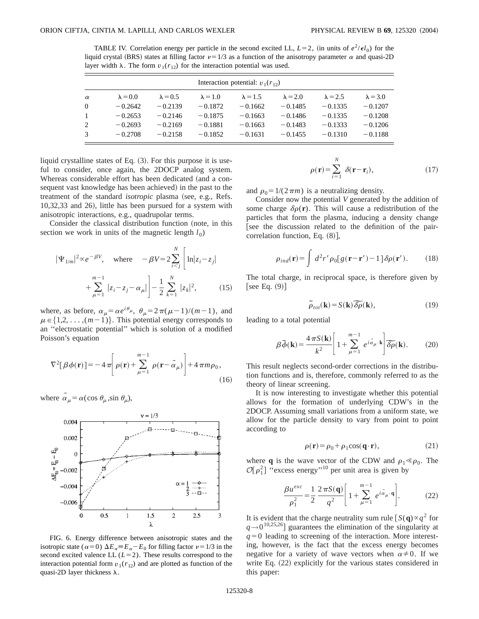TABLE IV. Correlation energy per particle in the second excited LL,  $L=2$ , (in units of  $e^2/\epsilon l_0$ ) for the liquid crystal (BRS) states at filling factor  $\nu=1/3$  as a function of the anisotropy parameter  $\alpha$  and quasi-2D layer width  $\lambda$ . The form  $v_1(r_{12})$  for the interaction potential was used.

| Interaction potential: $v_1(r_{12})$ |                 |                 |                 |                 |                 |                 |                 |  |
|--------------------------------------|-----------------|-----------------|-----------------|-----------------|-----------------|-----------------|-----------------|--|
| $\alpha$                             | $\lambda = 0.0$ | $\lambda = 0.5$ | $\lambda = 1.0$ | $\lambda = 1.5$ | $\lambda = 2.0$ | $\lambda = 2.5$ | $\lambda = 3.0$ |  |
| $\Omega$                             | $-0.2642$       | $-0.2139$       | $-0.1872$       | $-0.1662$       | $-0.1485$       | $-0.1335$       | $-0.1207$       |  |
| $\mathbf{1}$                         | $-0.2653$       | $-0.2146$       | $-0.1875$       | $-0.1663$       | $-0.1486$       | $-0.1335$       | $-0.1208$       |  |
| 2                                    | $-0.2693$       | $-0.2169$       | $-0.1881$       | $-0.1663$       | $-0.1483$       | $-0.1333$       | $-0.1206$       |  |
| 3                                    | $-0.2708$       | $-0.2158$       | $-0.1852$       | $-0.1631$       | $-0.1455$       | $-0.1310$       | $-0.1188$       |  |

liquid crystalline states of Eq.  $(3)$ . For this purpose it is useful to consider, once again, the 2DOCP analog system. Whereas considerable effort has been dedicated (and a consequent vast knowledge has been achieved) in the past to the treatment of the standard *isotropic* plasma (see, e.g., Refs.  $10,32,33$  and  $26$ ), little has been pursued for a system with anisotropic interactions, e.g., quadrupolar terms.

Consider the classical distribution function (note, in this section we work in units of the magnetic length  $l_0$ )

$$
|\Psi_{1/m}|^2 \propto e^{-\beta V}, \quad \text{where} \quad -\beta V = 2 \sum_{i < j}^N \left[ \ln |z_i - z_j| + \sum_{\mu=1}^{m-1} |z_i - z_j - \alpha_\mu| \right] - \frac{1}{2} \sum_{k=1}^N |z_k|^2, \quad (15)
$$

where, as before,  $\alpha_{\mu} = \alpha e^{i\theta_{\mu}}, \ \theta_{\mu} = 2\pi(\mu-1)/(m-1)$ , and  $\mu \in \{1,2,\ldots,(m-1)\}\.$  This potential energy corresponds to an ''electrostatic potential'' which is solution of a modified Poisson's equation

$$
\nabla^2[\beta\phi(\mathbf{r})] = -4\pi \left[\rho(\mathbf{r}) + \sum_{\mu=1}^{m-1} \rho(\mathbf{r} - \vec{\alpha}_{\mu})\right] + 4\pi m \rho_0,
$$
\n(16)

where  $\alpha_{\mu} = \alpha(\cos \theta_{\mu}, \sin \theta_{\mu}),$ 



FIG. 6. Energy difference between anisotropic states and the isotropic state ( $\alpha=0$ )  $\Delta E_{\alpha} = E_{\alpha} - E_0$  for filling factor  $\nu=1/3$  in the second excited valence LL  $(L=2)$ . These results correspond to the interaction potential form  $v_1(r_{12})$  and are plotted as function of the quasi-2D layer thickness  $\lambda$ .

$$
\rho(\mathbf{r}) = \sum_{i=1}^{N} \delta(\mathbf{r} - \mathbf{r}_i),
$$
\n(17)

and  $\rho_0 = 1/(2 \pi m)$  is a neutralizing density.

Consider now the potential *V* generated by the addition of some charge  $\delta \rho(\mathbf{r})$ . This will cause a redistribution of the particles that form the plasma, inducing a density change [see the discussion related to the definition of the paircorrelation function, Eq.  $(8)$ ],

$$
\rho_{ind}(\mathbf{r}) = \int d^2 r' \rho_0[g(\mathbf{r} - \mathbf{r}') - 1] \delta \rho(\mathbf{r}'). \tag{18}
$$

The total charge, in reciprocal space, is therefore given by [see Eq.  $(9)$ ]

$$
\widetilde{\rho}_{tot}(\mathbf{k}) = S(\mathbf{k}) \, \widetilde{\delta \rho}(\mathbf{k}),\tag{19}
$$

leading to a total potential

$$
\beta \widetilde{\phi}(\mathbf{k}) = \frac{4 \pi S(\mathbf{k})}{k^2} \left[ 1 + \sum_{\mu=1}^{m-1} e^{i \vec{\alpha}_{\mu} \cdot \mathbf{k}} \right] \widetilde{\delta \rho}(\mathbf{k}).
$$
 (20)

This result neglects second-order corrections in the distribution functions and is, therefore, commonly referred to as the theory of linear screening.

It is now interesting to investigate whether this potential allows for the formation of underlying CDW's in the 2DOCP. Assuming small variations from a uniform state, we allow for the particle density to vary from point to point according to

$$
\rho(\mathbf{r}) = \rho_0 + \rho_1 \cos(\mathbf{q} \cdot \mathbf{r}),\tag{21}
$$

where **q** is the wave vector of the CDW and  $\rho_1 \ll \rho_0$ . The  $\mathcal{O}[\rho_1^2]$  "excess energy"<sup>10</sup> per unit area is given by

$$
\frac{\beta u^{exc}}{\rho_1^2} = \frac{1}{2} \frac{2 \pi S(\mathbf{q})}{q^2} \left[ 1 + \sum_{\mu=1}^{m-1} e^{i \vec{\alpha}_{\mu} \cdot \mathbf{q}} \right].
$$
 (22)

It is evident that the charge neutrality sum rule  $[S(q) \propto q^2$  for  $q \rightarrow 0^{10,25,26}$  guarantees the elimination of the singularity at  $q=0$  leading to screening of the interaction. More interesting, however, is the fact that the excess energy becomes negative for a variety of wave vectors when  $\alpha \neq 0$ . If we write Eq.  $(22)$  explicitly for the various states considered in this paper: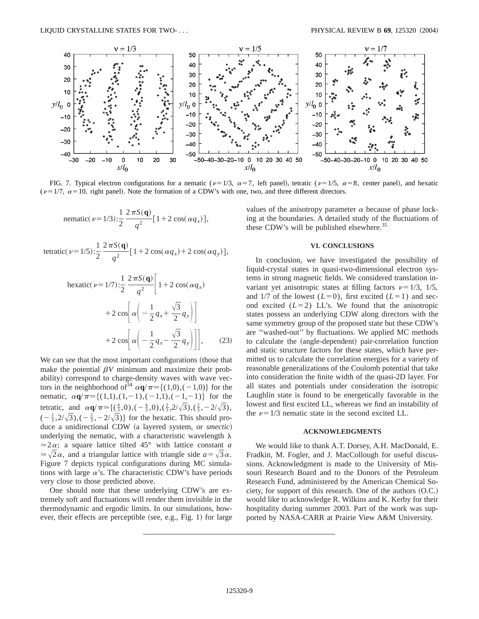

FIG. 7. Typical electron configurations for a nematic ( $\nu=1/3$ ,  $\alpha=7$ , left panel), tetratic ( $\nu=1/5$ ,  $\alpha=8$ , center panel), and hexatic ( $\nu=1/7$ ,  $\alpha=10$ , right panel). Note the formation of a CDW's with one, two, and three different directors.

nematic
$$
(\nu = 1/3)
$$
:  $\frac{1}{2} \frac{2 \pi S(\mathbf{q})}{q^2} [1 + 2 \cos(\alpha q_x)],$ 

tetratic( $\nu=1/5$ ): 1 2  $2\pi S({\bf q})$  $\frac{q^2}{q^2} [1+2 \cos(\alpha q_x)+2 \cos(\alpha q_y)],$ 

$$
\begin{aligned} \text{hexatic}(\nu=1/7): & \frac{1}{2} \frac{2 \pi S(\mathbf{q})}{q^2} \bigg[ 1 + 2 \cos(\alpha q_x) \\ & + 2 \cos \bigg[ \alpha \bigg( -\frac{1}{2} q_x + \frac{\sqrt{3}}{2} q_y \bigg) \bigg] \\ & + 2 \cos \bigg[ \alpha \bigg( -\frac{1}{2} q_x - \frac{\sqrt{3}}{2} q_y \bigg) \bigg] \bigg], \end{aligned} \tag{23}
$$

We can see that the most important configurations (those that make the potential  $\beta V$  minimum and maximize their probability) correspond to charge-density waves with wave vectors in the neighborhood of  $\tilde{d}^4 \alpha \mathbf{q}/\pi \simeq \{(1,0),(-1,0)\}$  for the nematic,  $\alpha \mathbf{q}/\pi \approx \{(1,1),(1,-1),(-1,1),(-1,-1)\}$  for the tetratic, and  $\alpha \mathbf{q}/\pi \approx \{(\frac{4}{3}, 0), (-\frac{4}{3}, 0), (\frac{2}{3}, 2/\sqrt{3}), (\frac{2}{3}, -2/\sqrt{3}),$  $\left(-\frac{2}{3}, 2/\sqrt{3}\right), \left(-\frac{2}{3}, -2/\sqrt{3}\right)\}$  for the hexatic. This should produce a unidirectional CDW (a layered system, or *smectic*) underlying the nematic, with a characteristic wavelength  $\lambda$  $\approx$  2 $\alpha$ ; a square lattice tilted 45° with lattice constant *a*  $\approx \sqrt{2\alpha}$ , and a triangular lattice with triangle side  $a=\sqrt{3\alpha}$ . Figure 7 depicts typical configurations during MC simulations with large  $\alpha$ 's. The characteristic CDW's have periods very close to those predicted above.

One should note that these underlying CDW's are extremely soft and fluctuations will render them invisible in the thermodynamic and ergodic limits. In our simulations, however, their effects are perceptible (see, e.g., Fig. 1) for large values of the anisotropy parameter  $\alpha$  because of phase locking at the boundaries. A detailed study of the fluctuations of these CDW's will be published elsewhere.<sup>35</sup>

### **VI. CONCLUSIONS**

In conclusion, we have investigated the possibility of liquid-crystal states in quasi-two-dimensional electron systems in strong magnetic fields. We considered translation invariant yet anisotropic states at filling factors  $\nu=1/3$ ,  $1/5$ , and  $1/7$  of the lowest  $(L=0)$ , first excited  $(L=1)$  and second excited  $(L=2)$  LL's. We found that the anisotropic states possess an underlying CDW along directors with the same symmetry group of the proposed state but these CDW's are ''washed-out'' by fluctuations. We applied MC methods to calculate the (angle-dependent) pair-correlation function and static structure factors for these states, which have permitted us to calculate the correlation energies for a variety of reasonable generalizations of the Coulomb potential that take into consideration the finite width of the quasi-2D layer. For all states and potentials under consideration the isotropic Laughlin state is found to be energetically favorable in the lowest and first excited LL, whereas we find an instability of the  $\nu$ =1/3 nematic state in the second excited LL.

#### **ACKNOWLEDGMENTS**

We would like to thank A.T. Dorsey, A.H. MacDonald, E. Fradkin, M. Fogler, and J. MacCollough for useful discussions. Acknowledgment is made to the University of Missouri Research Board and to the Donors of the Petroleum Research Fund, administered by the American Chemical Society, for support of this research. One of the authors  $(O.C.)$ would like to acknowledge R. Wilkins and K. Kerby for their hospitality during summer 2003. Part of the work was supported by NASA-CARR at Prairie View A&M University.